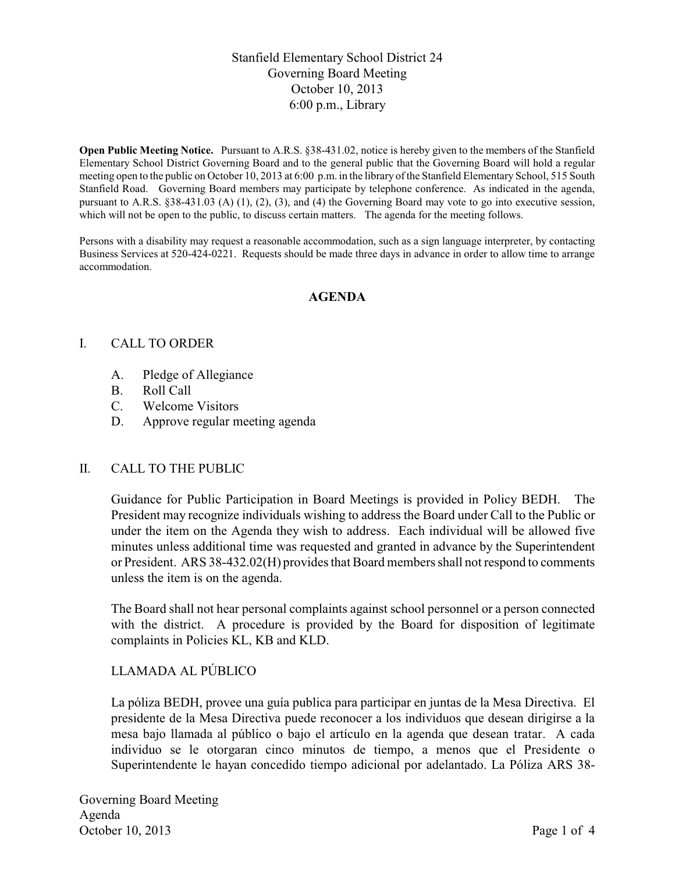# Stanfield Elementary School District 24 Governing Board Meeting October 10, 2013 6:00 p.m., Library

**Open Public Meeting Notice.** Pursuant to A.R.S. §38-431.02, notice is hereby given to the members of the Stanfield Elementary School District Governing Board and to the general public that the Governing Board will hold a regular meeting open to the public on October 10, 2013 at 6:00 p.m. in the library of the Stanfield Elementary School, 515 South Stanfield Road. Governing Board members may participate by telephone conference. As indicated in the agenda, pursuant to A.R.S. §38-431.03 (A) (1), (2), (3), and (4) the Governing Board may vote to go into executive session, which will not be open to the public, to discuss certain matters. The agenda for the meeting follows.

Persons with a disability may request a reasonable accommodation, such as a sign language interpreter, by contacting Business Services at 520-424-0221. Requests should be made three days in advance in order to allow time to arrange accommodation.

### **AGENDA**

### I. CALL TO ORDER

- A. Pledge of Allegiance
- B. Roll Call
- C. Welcome Visitors
- D. Approve regular meeting agenda

#### II. CALL TO THE PUBLIC

Guidance for Public Participation in Board Meetings is provided in Policy BEDH. The President may recognize individuals wishing to address the Board under Call to the Public or under the item on the Agenda they wish to address. Each individual will be allowed five minutes unless additional time was requested and granted in advance by the Superintendent or President. ARS 38-432.02(H) provides that Board members shall not respond to comments unless the item is on the agenda.

The Board shall not hear personal complaints against school personnel or a person connected with the district. A procedure is provided by the Board for disposition of legitimate complaints in Policies KL, KB and KLD.

## LLAMADA AL PÚBLICO

La póliza BEDH, provee una guía publica para participar en juntas de la Mesa Directiva. El presidente de la Mesa Directiva puede reconocer a los individuos que desean dirigirse a la mesa bajo llamada al público o bajo el artículo en la agenda que desean tratar. A cada individuo se le otorgaran cinco minutos de tiempo, a menos que el Presidente o Superintendente le hayan concedido tiempo adicional por adelantado. La Póliza ARS 38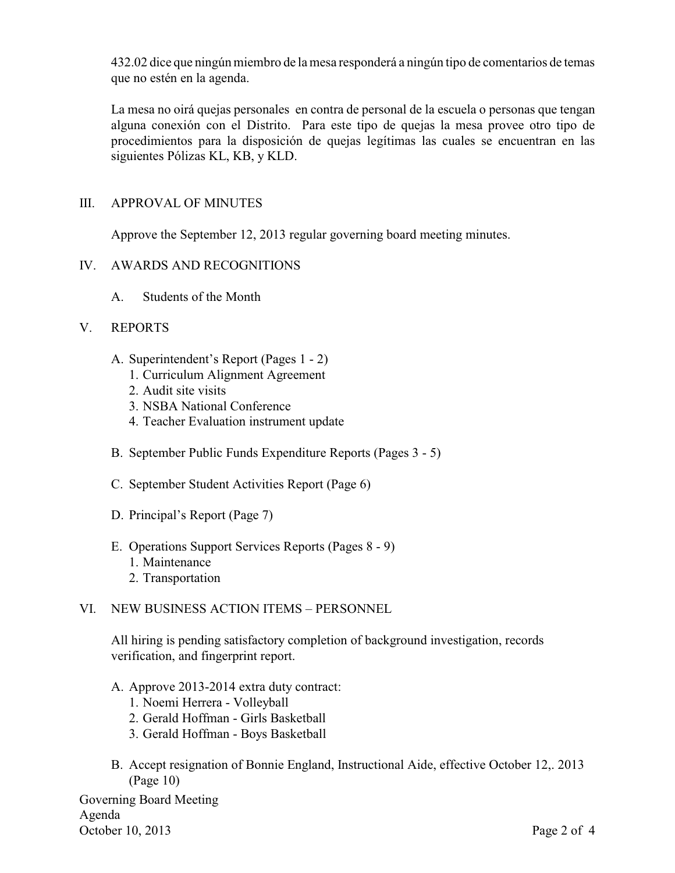432.02 dice que ningún miembro de la mesa responderá a ningún tipo de comentarios de temas que no estén en la agenda.

La mesa no oirá quejas personales en contra de personal de la escuela o personas que tengan alguna conexión con el Distrito. Para este tipo de quejas la mesa provee otro tipo de procedimientos para la disposición de quejas legítimas las cuales se encuentran en las siguientes Pólizas KL, KB, y KLD.

# III. APPROVAL OF MINUTES

Approve the September 12, 2013 regular governing board meeting minutes.

### IV. AWARDS AND RECOGNITIONS

A. Students of the Month

### V. REPORTS

- A. Superintendent's Report (Pages 1 2)
	- 1. Curriculum Alignment Agreement
	- 2. Audit site visits
	- 3. NSBA National Conference
	- 4. Teacher Evaluation instrument update
- B. September Public Funds Expenditure Reports (Pages 3 5)
- C. September Student Activities Report (Page 6)
- D. Principal's Report (Page 7)
- E. Operations Support Services Reports (Pages 8 9)
	- 1. Maintenance
	- 2. Transportation

## VI. NEW BUSINESS ACTION ITEMS – PERSONNEL

All hiring is pending satisfactory completion of background investigation, records verification, and fingerprint report.

- A. Approve 2013-2014 extra duty contract:
	- 1. Noemi Herrera Volleyball
	- 2. Gerald Hoffman Girls Basketball
	- 3. Gerald Hoffman Boys Basketball
- B. Accept resignation of Bonnie England, Instructional Aide, effective October 12,. 2013 (Page 10)

Governing Board Meeting Agenda October 10, 2013 Page 2 of 4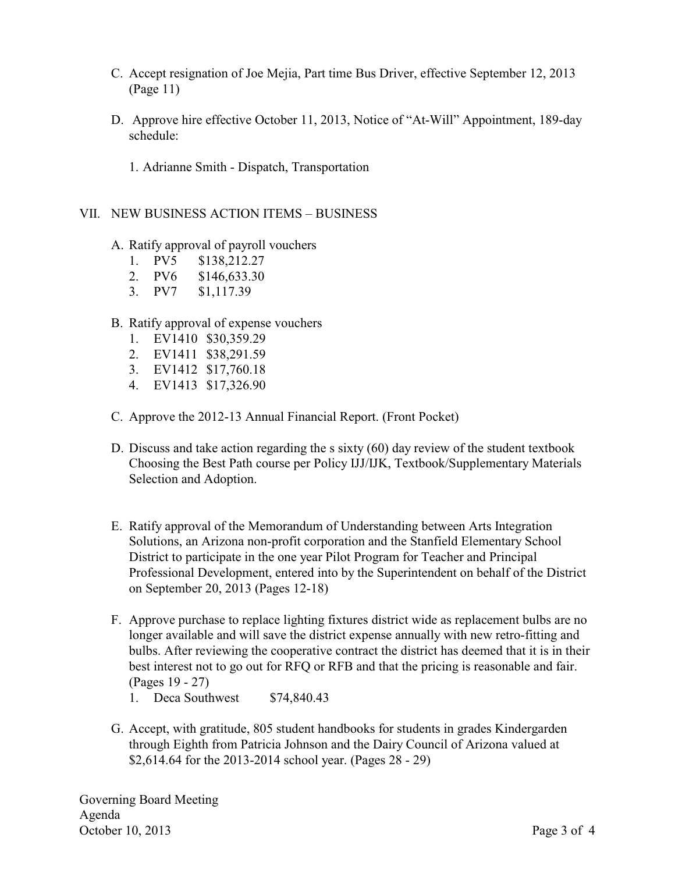- C. Accept resignation of Joe Mejia, Part time Bus Driver, effective September 12, 2013 (Page 11)
- D. Approve hire effective October 11, 2013, Notice of "At-Will" Appointment, 189-day schedule:
	- 1. Adrianne Smith Dispatch, Transportation

#### VII. NEW BUSINESS ACTION ITEMS – BUSINESS

- A. Ratify approval of payroll vouchers
	- 1. PV5 \$138,212.27
	- 2. PV6 \$146,633.30
	- 3. PV7 \$1,117.39

#### B. Ratify approval of expense vouchers

- 1. EV1410 \$30,359.29
- 2. EV1411 \$38,291.59
- 3. EV1412 \$17,760.18
- 4. EV1413 \$17,326.90
- C. Approve the 2012-13 Annual Financial Report. (Front Pocket)
- D. Discuss and take action regarding the s sixty (60) day review of the student textbook Choosing the Best Path course per Policy IJJ/IJK, Textbook/Supplementary Materials Selection and Adoption.
- E. Ratify approval of the Memorandum of Understanding between Arts Integration Solutions, an Arizona non-profit corporation and the Stanfield Elementary School District to participate in the one year Pilot Program for Teacher and Principal Professional Development, entered into by the Superintendent on behalf of the District on September 20, 2013 (Pages 12-18)
- F. Approve purchase to replace lighting fixtures district wide as replacement bulbs are no longer available and will save the district expense annually with new retro-fitting and bulbs. After reviewing the cooperative contract the district has deemed that it is in their best interest not to go out for RFQ or RFB and that the pricing is reasonable and fair. (Pages 19 - 27)
	- 1. Deca Southwest \$74,840.43
- G. Accept, with gratitude, 805 student handbooks for students in grades Kindergarden through Eighth from Patricia Johnson and the Dairy Council of Arizona valued at \$2,614.64 for the 2013-2014 school year. (Pages 28 - 29)